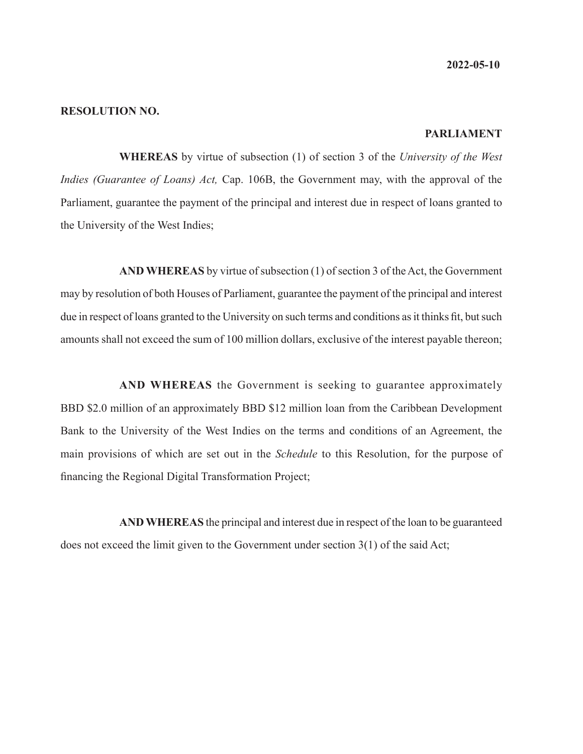**2022-05-10**

#### **RESOLUTION NO.**

### **PARLIAMENT**

**WHEREAS** by virtue of subsection (1) of section 3 of the *University of the West Indies (Guarantee of Loans) Act,* Cap. 106B, the Government may, with the approval of the Parliament, guarantee the payment of the principal and interest due in respect of loans granted to the University of the West Indies;

**AND WHEREAS** by virtue of subsection (1) of section 3 of the Act, the Government may by resolution of both Houses of Parliament, guarantee the payment of the principal and interest due in respect of loans granted to the University on such terms and conditions as it thinks fit, but such amounts shall not exceed the sum of 100 million dollars, exclusive of the interest payable thereon;

**AND WHEREAS** the Government is seeking to guarantee approximately BBD \$2.0 million of an approximately BBD \$12 million loan from the Caribbean Development Bank to the University of the West Indies on the terms and conditions of an Agreement, the main provisions of which are set out in the *Schedule* to this Resolution, for the purpose of financing the Regional Digital Transformation Project;

**AND WHEREAS** the principal and interest due in respect of the loan to be guaranteed does not exceed the limit given to the Government under section 3(1) of the said Act;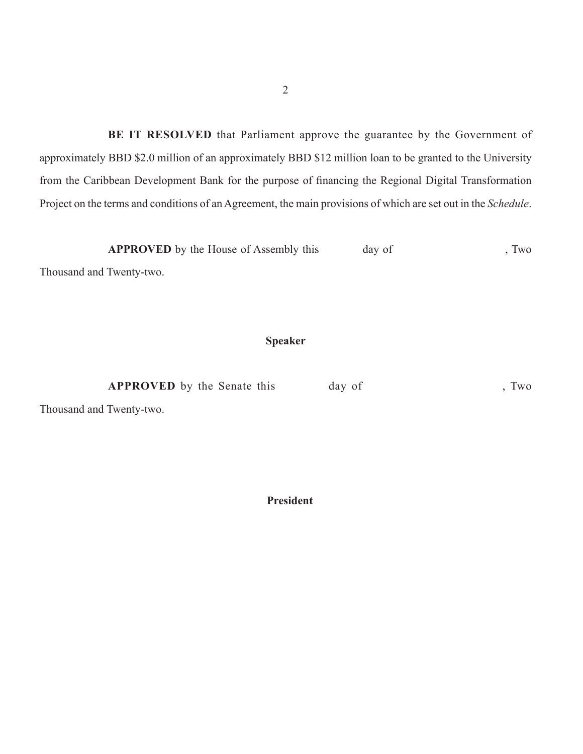**BE IT RESOLVED** that Parliament approve the guarantee by the Government of approximately BBD \$2.0 million of an approximately BBD \$12 million loan to be granted to the University from the Caribbean Development Bank for the purpose of financing the Regional Digital Transformation Project on the terms and conditions of an Agreement, the main provisions of which are set out in the *Schedule*.

**APPROVED** by the House of Assembly this day of , Two

Thousand and Twenty-two.

## **Speaker**

**APPROVED** by the Senate this day of , Two

Thousand and Twenty-two.

 **President**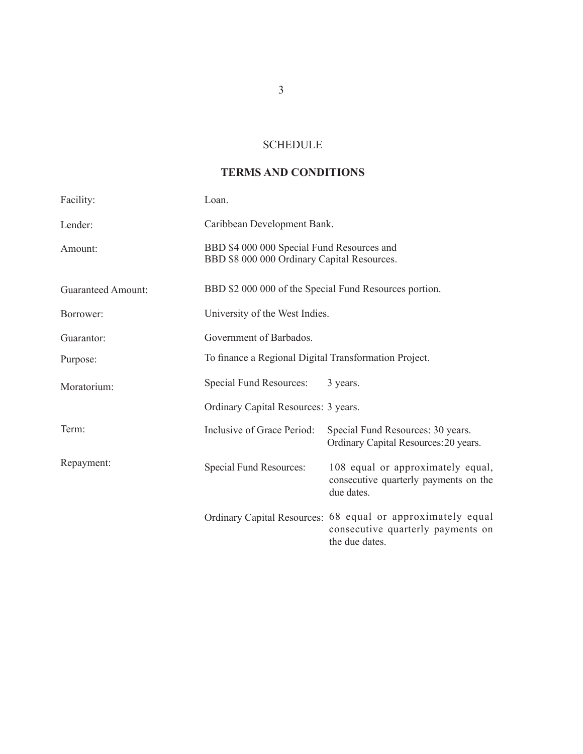## **SCHEDULE**

## **TERMS AND CONDITIONS**

| Facility:                 | Loan.                                                                                     |                                                                                                                    |
|---------------------------|-------------------------------------------------------------------------------------------|--------------------------------------------------------------------------------------------------------------------|
| Lender:                   | Caribbean Development Bank.                                                               |                                                                                                                    |
| Amount:                   | BBD \$4 000 000 Special Fund Resources and<br>BBD \$8 000 000 Ordinary Capital Resources. |                                                                                                                    |
| <b>Guaranteed Amount:</b> | BBD \$2 000 000 of the Special Fund Resources portion.                                    |                                                                                                                    |
| Borrower:                 | University of the West Indies.                                                            |                                                                                                                    |
| Guarantor:                | Government of Barbados.                                                                   |                                                                                                                    |
| Purpose:                  | To finance a Regional Digital Transformation Project.                                     |                                                                                                                    |
| Moratorium:               | Special Fund Resources:                                                                   | 3 years.                                                                                                           |
|                           | Ordinary Capital Resources: 3 years.                                                      |                                                                                                                    |
| Term:                     | Inclusive of Grace Period:                                                                | Special Fund Resources: 30 years.<br>Ordinary Capital Resources: 20 years.                                         |
| Repayment:                | Special Fund Resources:                                                                   | 108 equal or approximately equal,<br>consecutive quarterly payments on the<br>due dates.                           |
|                           |                                                                                           | Ordinary Capital Resources: 68 equal or approximately equal<br>consecutive quarterly payments on<br>the due dates. |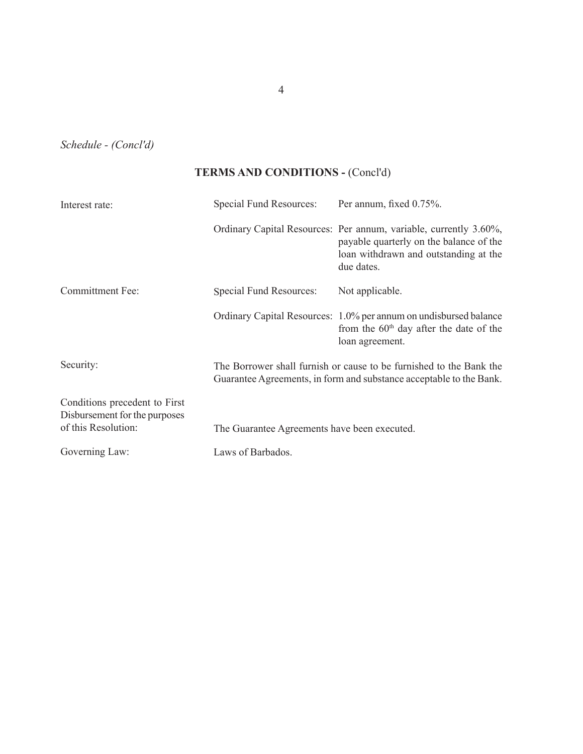*Schedule - (Concl'd)*

# **TERMS AND CONDITIONS -** (Concl'd)

| Interest rate:                                                 | Special Fund Resources: Per annum, fixed 0.75%.                                                                                            |                                                                                                                                                                     |  |
|----------------------------------------------------------------|--------------------------------------------------------------------------------------------------------------------------------------------|---------------------------------------------------------------------------------------------------------------------------------------------------------------------|--|
|                                                                |                                                                                                                                            | Ordinary Capital Resources: Per annum, variable, currently 3.60%,<br>payable quarterly on the balance of the<br>loan withdrawn and outstanding at the<br>due dates. |  |
| <b>Committment Fee:</b>                                        | Special Fund Resources:                                                                                                                    | Not applicable.                                                                                                                                                     |  |
|                                                                |                                                                                                                                            | Ordinary Capital Resources: 1.0% per annum on undisbursed balance<br>from the $60th$ day after the date of the<br>loan agreement.                                   |  |
| Security:                                                      | The Borrower shall furnish or cause to be furnished to the Bank the<br>Guarantee Agreements, in form and substance acceptable to the Bank. |                                                                                                                                                                     |  |
| Conditions precedent to First<br>Disbursement for the purposes |                                                                                                                                            |                                                                                                                                                                     |  |
| of this Resolution:                                            | The Guarantee Agreements have been executed.                                                                                               |                                                                                                                                                                     |  |
| Governing Law:                                                 | Laws of Barbados.                                                                                                                          |                                                                                                                                                                     |  |